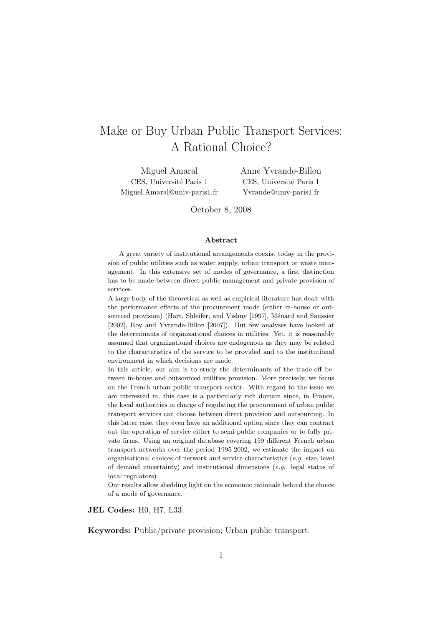# Make or Buy Urban Public Transport Services: A Rational Choice?

Miguel Amaral CES, Université Paris 1 Miguel.Amaral@univ-paris1.fr Anne Yvrande-Billon CES, Université Paris 1 Yvrande@univ-paris1.fr

October 8, 2008

#### Abstract

A great variety of institutional arrangements coexist today in the provision of public utilities such as water supply, urban transport or waste management. In this extensive set of modes of governance, a first distinction has to be made between direct public management and private provision of services.

A large body of the theoretical as well as empirical literature has dealt with the performance effects of the procurement mode (either in-house or outsourced provision) (Hart, Shleifer, and Vishny [1997], Ménard and Saussier [2002], Roy and Yvrande-Billon [2007]). But few analyses have looked at the determinants of organizational choices in utilities. Yet, it is reasonably assumed that organizational choices are endogenous as they may be related to the characteristics of the service to be provided and to the institutional environment in which decisions are made.

In this article, our aim is to study the determinants of the trade-off between in-house and outsourced utilities provision. More precisely, we focus on the French urban public transport sector. With regard to the issue we are interested in, this case is a particularly rich domain since, in France, the local authorities in charge of regulating the procurement of urban public transport services can choose between direct provision and outsourcing. In this latter case, they even have an additional option since they can contract out the operation of service either to semi-public companies or to fully private firms. Using an original database covering 159 different French urban transport networks over the period 1995-2002, we estimate the impact on organisational choices of network and service characteristics (e.g. size, level of demand uncertainty) and institutional dimensions (e.g. legal status of local regulators)

Our results allow shedding light on the economic rationale behind the choice of a mode of governance.

JEL Codes: H0, H7, L33.

Keywords: Public/private provision; Urban public transport.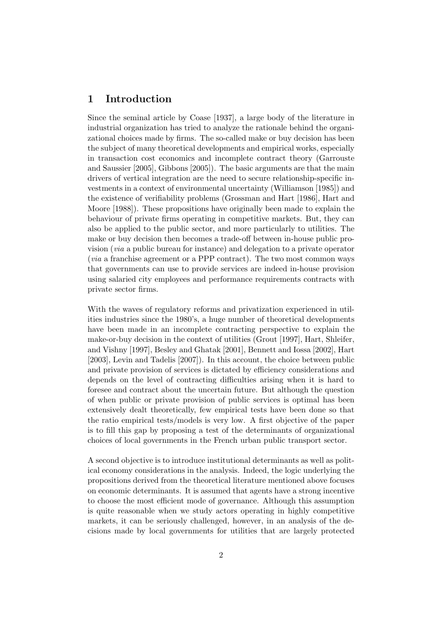## 1 Introduction

Since the seminal article by Coase [1937], a large body of the literature in industrial organization has tried to analyze the rationale behind the organizational choices made by firms. The so-called make or buy decision has been the subject of many theoretical developments and empirical works, especially in transaction cost economics and incomplete contract theory (Garrouste and Saussier [2005], Gibbons [2005]). The basic arguments are that the main drivers of vertical integration are the need to secure relationship-specific investments in a context of environmental uncertainty (Williamson [1985]) and the existence of verifiability problems (Grossman and Hart [1986], Hart and Moore [1988]). These propositions have originally been made to explain the behaviour of private firms operating in competitive markets. But, they can also be applied to the public sector, and more particularly to utilities. The make or buy decision then becomes a trade-off between in-house public provision (via a public bureau for instance) and delegation to a private operator (via a franchise agreement or a PPP contract). The two most common ways that governments can use to provide services are indeed in-house provision using salaried city employees and performance requirements contracts with private sector firms.

With the waves of regulatory reforms and privatization experienced in utilities industries since the 1980's, a huge number of theoretical developments have been made in an incomplete contracting perspective to explain the make-or-buy decision in the context of utilities (Grout [1997], Hart, Shleifer, and Vishny [1997], Besley and Ghatak [2001], Bennett and Iossa [2002], Hart [2003], Levin and Tadelis [2007]). In this account, the choice between public and private provision of services is dictated by efficiency considerations and depends on the level of contracting difficulties arising when it is hard to foresee and contract about the uncertain future. But although the question of when public or private provision of public services is optimal has been extensively dealt theoretically, few empirical tests have been done so that the ratio empirical tests/models is very low. A first objective of the paper is to fill this gap by proposing a test of the determinants of organizational choices of local governments in the French urban public transport sector.

A second objective is to introduce institutional determinants as well as political economy considerations in the analysis. Indeed, the logic underlying the propositions derived from the theoretical literature mentioned above focuses on economic determinants. It is assumed that agents have a strong incentive to choose the most efficient mode of governance. Although this assumption is quite reasonable when we study actors operating in highly competitive markets, it can be seriously challenged, however, in an analysis of the decisions made by local governments for utilities that are largely protected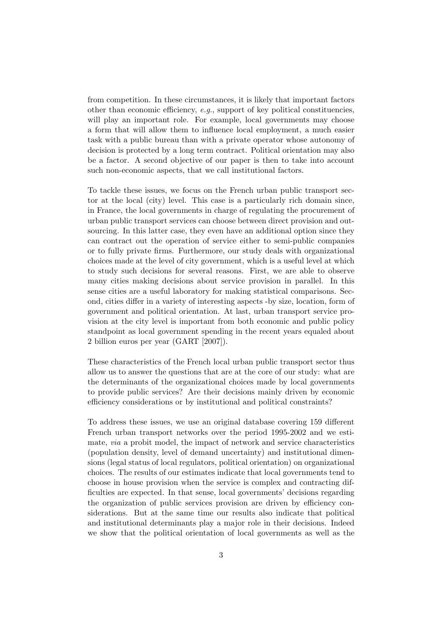from competition. In these circumstances, it is likely that important factors other than economic efficiency,  $e.g.,$  support of key political constituencies, will play an important role. For example, local governments may choose a form that will allow them to influence local employment, a much easier task with a public bureau than with a private operator whose autonomy of decision is protected by a long term contract. Political orientation may also be a factor. A second objective of our paper is then to take into account such non-economic aspects, that we call institutional factors.

To tackle these issues, we focus on the French urban public transport sector at the local (city) level. This case is a particularly rich domain since, in France, the local governments in charge of regulating the procurement of urban public transport services can choose between direct provision and outsourcing. In this latter case, they even have an additional option since they can contract out the operation of service either to semi-public companies or to fully private firms. Furthermore, our study deals with organizational choices made at the level of city government, which is a useful level at which to study such decisions for several reasons. First, we are able to observe many cities making decisions about service provision in parallel. In this sense cities are a useful laboratory for making statistical comparisons. Second, cities differ in a variety of interesting aspects -by size, location, form of government and political orientation. At last, urban transport service provision at the city level is important from both economic and public policy standpoint as local government spending in the recent years equaled about 2 billion euros per year (GART [2007]).

These characteristics of the French local urban public transport sector thus allow us to answer the questions that are at the core of our study: what are the determinants of the organizational choices made by local governments to provide public services? Are their decisions mainly driven by economic efficiency considerations or by institutional and political constraints?

To address these issues, we use an original database covering 159 different French urban transport networks over the period 1995-2002 and we estimate, via a probit model, the impact of network and service characteristics (population density, level of demand uncertainty) and institutional dimensions (legal status of local regulators, political orientation) on organizational choices. The results of our estimates indicate that local governments tend to choose in house provision when the service is complex and contracting difficulties are expected. In that sense, local governments' decisions regarding the organization of public services provision are driven by efficiency considerations. But at the same time our results also indicate that political and institutional determinants play a major role in their decisions. Indeed we show that the political orientation of local governments as well as the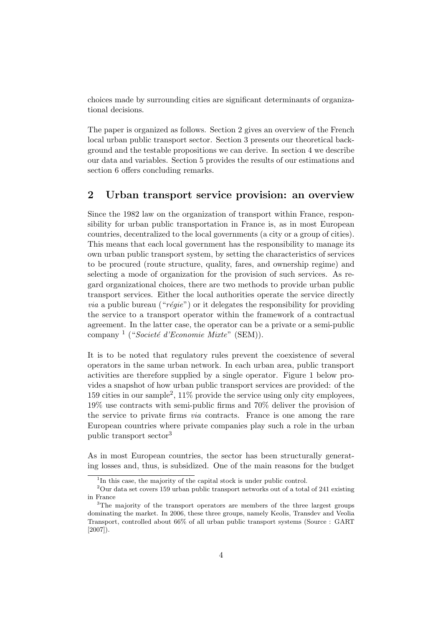choices made by surrounding cities are significant determinants of organizational decisions.

The paper is organized as follows. Section 2 gives an overview of the French local urban public transport sector. Section 3 presents our theoretical background and the testable propositions we can derive. In section 4 we describe our data and variables. Section 5 provides the results of our estimations and section 6 offers concluding remarks.

### 2 Urban transport service provision: an overview

Since the 1982 law on the organization of transport within France, responsibility for urban public transportation in France is, as in most European countries, decentralized to the local governments (a city or a group of cities). This means that each local government has the responsibility to manage its own urban public transport system, by setting the characteristics of services to be procured (route structure, quality, fares, and ownership regime) and selecting a mode of organization for the provision of such services. As regard organizational choices, there are two methods to provide urban public transport services. Either the local authorities operate the service directly *via* a public bureau (" $régie$ ") or it delegates the responsibility for providing the service to a transport operator within the framework of a contractual agreement. In the latter case, the operator can be a private or a semi-public company<sup>1</sup> ("Societé d'Economie Mixte" (SEM)).

It is to be noted that regulatory rules prevent the coexistence of several operators in the same urban network. In each urban area, public transport activities are therefore supplied by a single operator. Figure 1 below provides a snapshot of how urban public transport services are provided: of the 159 cities in our sample<sup>2</sup> , 11% provide the service using only city employees, 19% use contracts with semi-public firms and 70% deliver the provision of the service to private firms via contracts. France is one among the rare European countries where private companies play such a role in the urban public transport sector<sup>3</sup>

As in most European countries, the sector has been structurally generating losses and, thus, is subsidized. One of the main reasons for the budget

<sup>&</sup>lt;sup>1</sup>In this case, the majority of the capital stock is under public control.

 $2$ Our data set covers 159 urban public transport networks out of a total of 241 existing in France

<sup>&</sup>lt;sup>3</sup>The majority of the transport operators are members of the three largest groups dominating the market. In 2006, these three groups, namely Keolis, Transdev and Veolia Transport, controlled about 66% of all urban public transport systems (Source : GART [2007]).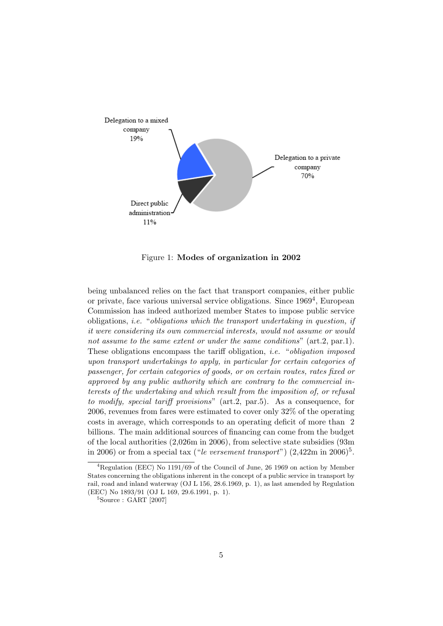

Figure 1: Modes of organization in 2002

being unbalanced relies on the fact that transport companies, either public or private, face various universal service obligations. Since 1969<sup>4</sup> , European Commission has indeed authorized member States to impose public service obligations, i.e. "obligations which the transport undertaking in question, if it were considering its own commercial interests, would not assume or would not assume to the same extent or under the same conditions" (art.2, par.1). These obligations encompass the tariff obligation, i.e. "obligation imposed upon transport undertakings to apply, in particular for certain categories of passenger, for certain categories of goods, or on certain routes, rates fixed or approved by any public authority which are contrary to the commercial interests of the undertaking and which result from the imposition of, or refusal to modify, special tariff provisions" (art.2, par.5). As a consequence, for 2006, revenues from fares were estimated to cover only 32% of the operating costs in average, which corresponds to an operating deficit of more than 2 billions. The main additional sources of financing can come from the budget of the local authorities (2,026m in 2006), from selective state subsidies (93m in 2006) or from a special tax ("le versement transport")  $(2,422m)$  in  $2006)^5$ .

 ${}^{4}$ Regulation (EEC) No 1191/69 of the Council of June, 26 1969 on action by Member States concerning the obligations inherent in the concept of a public service in transport by rail, road and inland waterway (OJ L 156, 28.6.1969, p. 1), as last amended by Regulation (EEC) No 1893/91 (OJ L 169, 29.6.1991, p. 1).

 ${}^{5}$ Source : GART [2007]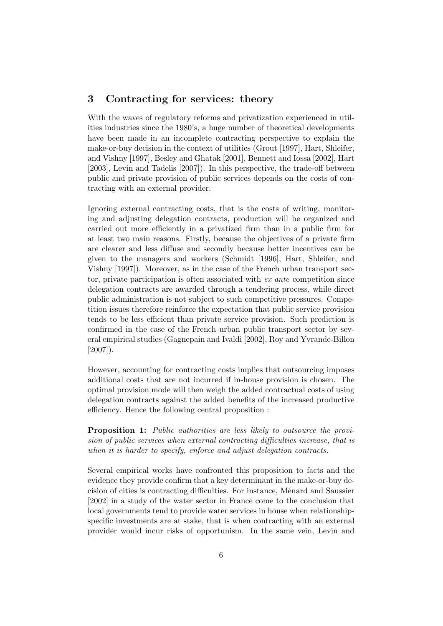## 3 Contracting for services: theory

With the waves of regulatory reforms and privatization experienced in utilities industries since the 1980's, a huge number of theoretical developments have been made in an incomplete contracting perspective to explain the make-or-buy decision in the context of utilities (Grout [1997], Hart, Shleifer, and Vishny [1997], Besley and Ghatak [2001], Bennett and Iossa [2002], Hart [2003], Levin and Tadelis [2007]). In this perspective, the trade-off between public and private provision of public services depends on the costs of contracting with an external provider.

Ignoring external contracting costs, that is the costs of writing, monitoring and adjusting delegation contracts, production will be organized and carried out more efficiently in a privatized firm than in a public firm for at least two main reasons. Firstly, because the objectives of a private firm are clearer and less diffuse and secondly because better incentives can be given to the managers and workers (Schmidt [1996], Hart, Shleifer, and Vishny [1997]). Moreover, as in the case of the French urban transport sector, private participation is often associated with ex ante competition since delegation contracts are awarded through a tendering process, while direct public administration is not subject to such competitive pressures. Competition issues therefore reinforce the expectation that public service provision tends to be less efficient than private service provision. Such prediction is confirmed in the case of the French urban public transport sector by several empirical studies (Gagnepain and Ivaldi [2002], Roy and Yvrande-Billon  $[2007]$ ).

However, accounting for contracting costs implies that outsourcing imposes additional costs that are not incurred if in-house provision is chosen. The optimal provision mode will then weigh the added contractual costs of using delegation contracts against the added benefits of the increased productive efficiency. Hence the following central proposition :

Proposition 1: Public authorities are less likely to outsource the provision of public services when external contracting difficulties increase, that is when it is harder to specify, enforce and adjust delegation contracts.

Several empirical works have confronted this proposition to facts and the evidence they provide confirm that a key determinant in the make-or-buy decision of cities is contracting difficulties. For instance, Ménard and Saussier [2002] in a study of the water sector in France come to the conclusion that local governments tend to provide water services in house when relationshipspecific investments are at stake, that is when contracting with an external provider would incur risks of opportunism. In the same vein, Levin and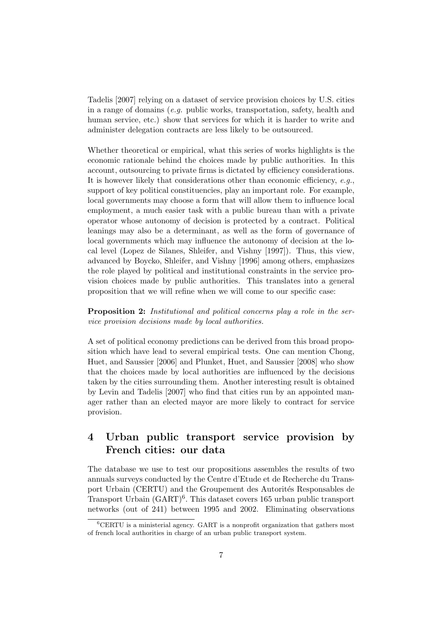Tadelis [2007] relying on a dataset of service provision choices by U.S. cities in a range of domains (e.g. public works, transportation, safety, health and human service, etc.) show that services for which it is harder to write and administer delegation contracts are less likely to be outsourced.

Whether theoretical or empirical, what this series of works highlights is the economic rationale behind the choices made by public authorities. In this account, outsourcing to private firms is dictated by efficiency considerations. It is however likely that considerations other than economic efficiency,  $e.g.,$ support of key political constituencies, play an important role. For example, local governments may choose a form that will allow them to influence local employment, a much easier task with a public bureau than with a private operator whose autonomy of decision is protected by a contract. Political leanings may also be a determinant, as well as the form of governance of local governments which may influence the autonomy of decision at the local level (Lopez de Silanes, Shleifer, and Vishny [1997]). Thus, this view, advanced by Boycko, Shleifer, and Vishny [1996] among others, emphasizes the role played by political and institutional constraints in the service provision choices made by public authorities. This translates into a general proposition that we will refine when we will come to our specific case:

Proposition 2: Institutional and political concerns play a role in the service provision decisions made by local authorities.

A set of political economy predictions can be derived from this broad proposition which have lead to several empirical tests. One can mention Chong, Huet, and Saussier [2006] and Plunket, Huet, and Saussier [2008] who show that the choices made by local authorities are influenced by the decisions taken by the cities surrounding them. Another interesting result is obtained by Levin and Tadelis [2007] who find that cities run by an appointed manager rather than an elected mayor are more likely to contract for service provision.

## 4 Urban public transport service provision by French cities: our data

The database we use to test our propositions assembles the results of two annuals surveys conducted by the Centre d'Etude et de Recherche du Transport Urbain (CERTU) and the Groupement des Autorités Responsables de Transport Urbain  $(GART)^6$ . This dataset covers 165 urban public transport networks (out of 241) between 1995 and 2002. Eliminating observations

 ${}^{6}$ CERTU is a ministerial agency. GART is a nonprofit organization that gathers most of french local authorities in charge of an urban public transport system.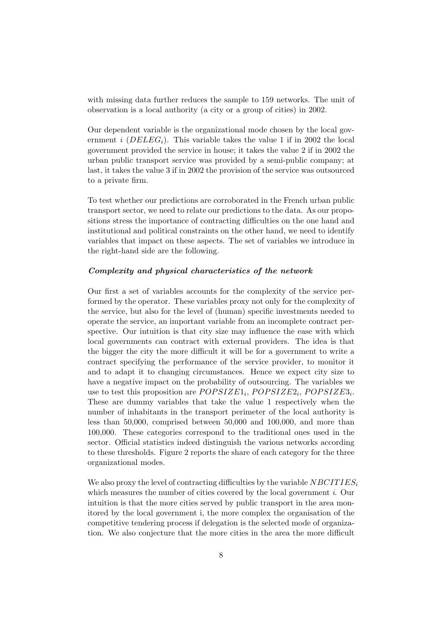with missing data further reduces the sample to 159 networks. The unit of observation is a local authority (a city or a group of cities) in 2002.

Our dependent variable is the organizational mode chosen by the local government *i* (*DELEG<sub>i</sub>*). This variable takes the value 1 if in 2002 the local government provided the service in house; it takes the value 2 if in 2002 the urban public transport service was provided by a semi-public company; at last, it takes the value 3 if in 2002 the provision of the service was outsourced to a private firm.

To test whether our predictions are corroborated in the French urban public transport sector, we need to relate our predictions to the data. As our propositions stress the importance of contracting difficulties on the one hand and institutional and political constraints on the other hand, we need to identify variables that impact on these aspects. The set of variables we introduce in the right-hand side are the following.

#### Complexity and physical characteristics of the network

Our first a set of variables accounts for the complexity of the service performed by the operator. These variables proxy not only for the complexity of the service, but also for the level of (human) specific investments needed to operate the service, an important variable from an incomplete contract perspective. Our intuition is that city size may influence the ease with which local governments can contract with external providers. The idea is that the bigger the city the more difficult it will be for a government to write a contract specifying the performance of the service provider, to monitor it and to adapt it to changing circumstances. Hence we expect city size to have a negative impact on the probability of outsourcing. The variables we use to test this proposition are  $POPSIZE1_i$ ,  $POPSIZE2_i$ ,  $POPSIZE3_i$ . These are dummy variables that take the value 1 respectively when the number of inhabitants in the transport perimeter of the local authority is less than 50,000, comprised between 50,000 and 100,000, and more than 100,000. These categories correspond to the traditional ones used in the sector. Official statistics indeed distinguish the various networks according to these thresholds. Figure 2 reports the share of each category for the three organizational modes.

We also proxy the level of contracting difficulties by the variable  $NBCITIES_i$ which measures the number of cities covered by the local government *i*. Our intuition is that the more cities served by public transport in the area monitored by the local government i, the more complex the organisation of the competitive tendering process if delegation is the selected mode of organization. We also conjecture that the more cities in the area the more difficult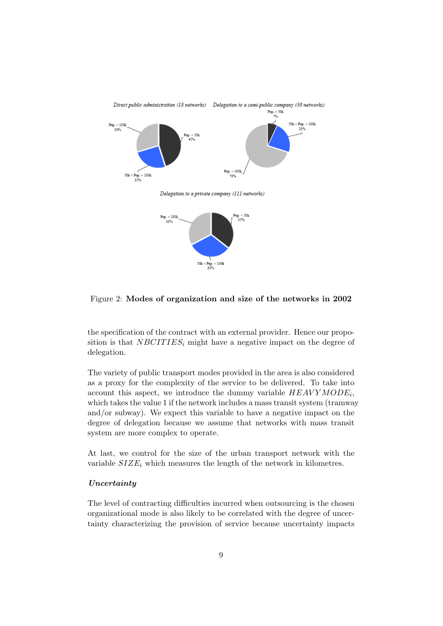

Figure 2: Modes of organization and size of the networks in 2002

the specification of the contract with an external provider. Hence our proposition is that  $NBCITIES_i$  might have a negative impact on the degree of delegation.

The variety of public transport modes provided in the area is also considered as a proxy for the complexity of the service to be delivered. To take into account this aspect, we introduce the dummy variable  $HEAVYMODE_i$ , which takes the value 1 if the network includes a mass transit system (tramway and/or subway). We expect this variable to have a negative impact on the degree of delegation because we assume that networks with mass transit system are more complex to operate.

At last, we control for the size of the urban transport network with the variable  $SIZE_i$  which measures the length of the network in kilometres.

#### Uncertainty

The level of contracting difficulties incurred when outsourcing is the chosen organizational mode is also likely to be correlated with the degree of uncertainty characterizing the provision of service because uncertainty impacts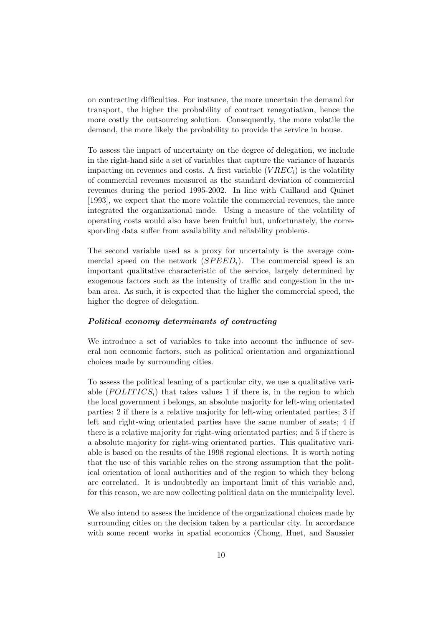on contracting difficulties. For instance, the more uncertain the demand for transport, the higher the probability of contract renegotiation, hence the more costly the outsourcing solution. Consequently, the more volatile the demand, the more likely the probability to provide the service in house.

To assess the impact of uncertainty on the degree of delegation, we include in the right-hand side a set of variables that capture the variance of hazards impacting on revenues and costs. A first variable  $(VREC_i)$  is the volatility of commercial revenues measured as the standard deviation of commercial revenues during the period 1995-2002. In line with Caillaud and Quinet [1993], we expect that the more volatile the commercial revenues, the more integrated the organizational mode. Using a measure of the volatility of operating costs would also have been fruitful but, unfortunately, the corresponding data suffer from availability and reliability problems.

The second variable used as a proxy for uncertainty is the average commercial speed on the network  $(SPEED<sub>i</sub>)$ . The commercial speed is an important qualitative characteristic of the service, largely determined by exogenous factors such as the intensity of traffic and congestion in the urban area. As such, it is expected that the higher the commercial speed, the higher the degree of delegation.

#### Political economy determinants of contracting

We introduce a set of variables to take into account the influence of several non economic factors, such as political orientation and organizational choices made by surrounding cities.

To assess the political leaning of a particular city, we use a qualitative variable (POLITICS<sub>i</sub>) that takes values 1 if there is, in the region to which the local government i belongs, an absolute majority for left-wing orientated parties; 2 if there is a relative majority for left-wing orientated parties; 3 if left and right-wing orientated parties have the same number of seats; 4 if there is a relative majority for right-wing orientated parties; and 5 if there is a absolute majority for right-wing orientated parties. This qualitative variable is based on the results of the 1998 regional elections. It is worth noting that the use of this variable relies on the strong assumption that the political orientation of local authorities and of the region to which they belong are correlated. It is undoubtedly an important limit of this variable and, for this reason, we are now collecting political data on the municipality level.

We also intend to assess the incidence of the organizational choices made by surrounding cities on the decision taken by a particular city. In accordance with some recent works in spatial economics (Chong, Huet, and Saussier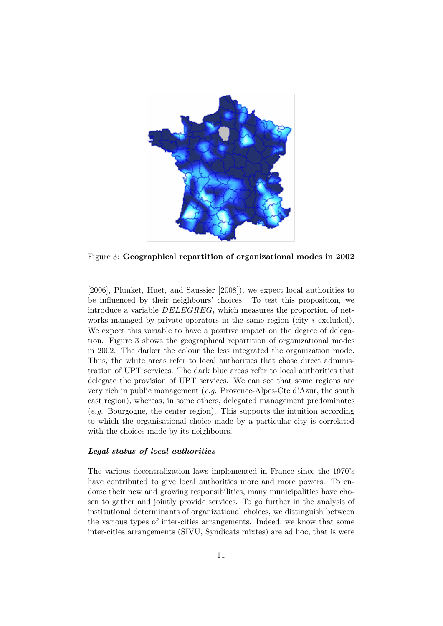

Figure 3: Geographical repartition of organizational modes in 2002

[2006], Plunket, Huet, and Saussier [2008]), we expect local authorities to be influenced by their neighbours' choices. To test this proposition, we introduce a variable  $DELEGREG_i$  which measures the proportion of networks managed by private operators in the same region (city i excluded). We expect this variable to have a positive impact on the degree of delegation. Figure 3 shows the geographical repartition of organizational modes in 2002. The darker the colour the less integrated the organization mode. Thus, the white areas refer to local authorities that chose direct administration of UPT services. The dark blue areas refer to local authorities that delegate the provision of UPT services. We can see that some regions are very rich in public management (e.g. Provence-Alpes-Cte d'Azur, the south east region), whereas, in some others, delegated management predominates  $(e, q.$  Bourgogne, the center region). This supports the intuition according to which the organisational choice made by a particular city is correlated with the choices made by its neighbours.

#### Legal status of local authorities

The various decentralization laws implemented in France since the 1970's have contributed to give local authorities more and more powers. To endorse their new and growing responsibilities, many municipalities have chosen to gather and jointly provide services. To go further in the analysis of institutional determinants of organizational choices, we distinguish between the various types of inter-cities arrangements. Indeed, we know that some inter-cities arrangements (SIVU, Syndicats mixtes) are ad hoc, that is were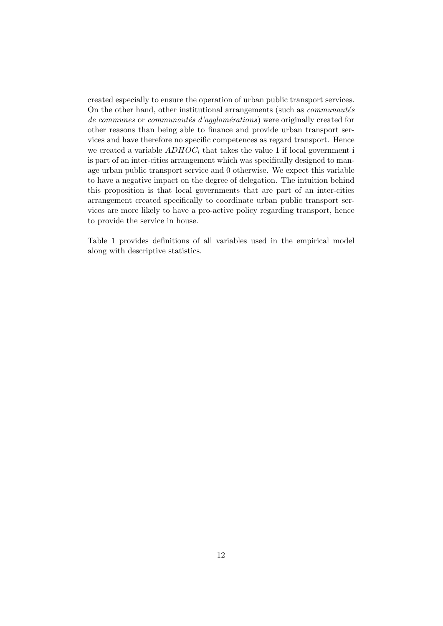created especially to ensure the operation of urban public transport services. On the other hand, other institutional arrangements (such as  $communaut\acute{e}s$ )  $de communes$  or communautés d'agglomérations) were originally created for other reasons than being able to finance and provide urban transport services and have therefore no specific competences as regard transport. Hence we created a variable  $ADHOC<sub>i</sub>$  that takes the value 1 if local government is is part of an inter-cities arrangement which was specifically designed to manage urban public transport service and 0 otherwise. We expect this variable to have a negative impact on the degree of delegation. The intuition behind this proposition is that local governments that are part of an inter-cities arrangement created specifically to coordinate urban public transport services are more likely to have a pro-active policy regarding transport, hence to provide the service in house.

Table 1 provides definitions of all variables used in the empirical model along with descriptive statistics.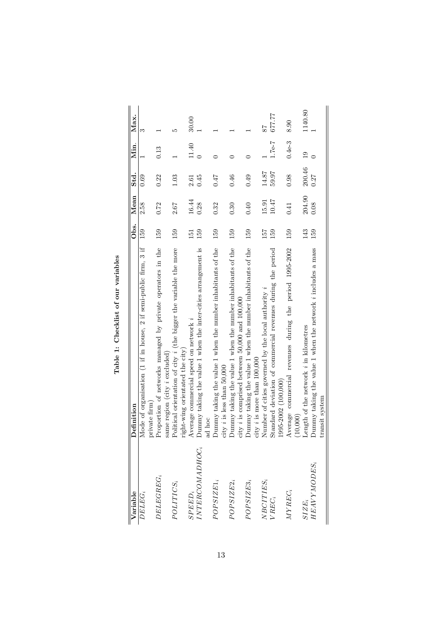| Variable           | <b>Definition</b>                                                                                                   | Obs. | Mean   | std.   | Min.           | Max.    |
|--------------------|---------------------------------------------------------------------------------------------------------------------|------|--------|--------|----------------|---------|
| DELEG <sub>i</sub> | Mode of organisation (1 if in house, 2 if semi-public firm, 3 if<br>xivate firm                                     | 159  | 2.58   | 0.69   |                |         |
| $DELEGREG_i$       | Proportion of networks managed by private operators in the<br>ame region (city <i>i</i> excluded)                   | 159  | 0.72   | 0.22   | 0.13           |         |
| POLITICS;          | Political orientation of city <i>i</i> (the bigger the variable the more<br>ight-wing orientated the city)          | 159  | 2.67   | 1.03   |                | S       |
| $SPEED_i$          | Average commercial speed on network i                                                                               | 151  | 16.44  | 2.61   | 11.40          | 30.00   |
| INTERCOMADHOC,     | Jummy taking the value 1 when the inter-cities arrangement is<br>ad hoc                                             | 159  | 0.28   | 0.45   |                |         |
| $POPSIZE1_i$       | Jummy taking the value 1 when the number inhabitants of the<br>ity $i$ is less than 50,000                          | 159  | 0.32   | 0.47   |                |         |
| $POPSIZE2_i$       | Jummy taking the value 1 when the number inhabitants of the<br>ity <i>i</i> is comprised between 50,000 and 100,000 | 159  | 0.30   | 0.46   | ⊂              |         |
| $POPSIZE3_i$       | Dummy taking the value 1 when the number inhabitants of the<br>ity $i$ is more than $100,000$                       | 159  | 0.40   | 0.49   | ⊂              |         |
| $NBCITIES_i$       | Number of cities governed by the local authority i                                                                  | 157  | 15.91  | 14.87  |                | 78      |
| VREC <sub>i</sub>  | standard deviation of commercial revenues during the period<br>$(995 - 2002 (100, 000))$                            | 159  | 10.47  | 59.97  | $1.7e-7$       | 677.77  |
| $MYREG_i$          | Average commercial revenues during the period 1995-2002<br>(10,000)                                                 | 159  | 0.41   | 0.98   | $0.4e-3$       | 8.90    |
| $SIE_i$            | ength of the network i in kilometres                                                                                | 143  | 204.90 | 200.46 | $\overline{0}$ | 1140.80 |
| HEAVYMODES;        | Jummy taking the value 1 when the network i includes a mass<br>ransit system                                        | 159  | 0.08   | 0.27   |                |         |

| -<br>-<br>-<br>֡֡֡֡֡ |  |
|----------------------|--|
| nt nur<br>i          |  |
|                      |  |
|                      |  |
| ر<br>ر               |  |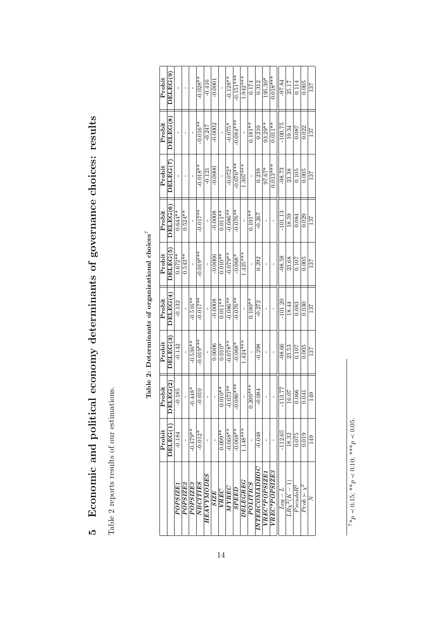|    | )<br> }<br>                                                                                                                                                                                                                                    |
|----|------------------------------------------------------------------------------------------------------------------------------------------------------------------------------------------------------------------------------------------------|
|    | )<br>)<br>i<br>J                                                                                                                                                                                                                               |
|    | THIRD SA POCTOCOLO CON CIRCIPALIS (THANGELIST IN THE SAN CHANGELIST) – COLLECTIVE IN THE COLLECTIVE IN THE COLLECTIVE IN THE COLLECTIVE IN THE COLLECTIVE IN THE COLLECTIVE IN THE COLLECTIVE IN THE COLLECTIVE IN THE COLLECT<br>・・・ フィン・フィンス |
|    |                                                                                                                                                                                                                                                |
|    |                                                                                                                                                                                                                                                |
|    | <br> <br> <br> <br> <br>                                                                                                                                                                                                                       |
|    |                                                                                                                                                                                                                                                |
|    | :<br>(                                                                                                                                                                                                                                         |
|    | ;<br>;                                                                                                                                                                                                                                         |
|    |                                                                                                                                                                                                                                                |
|    |                                                                                                                                                                                                                                                |
|    | )<br>)<br>)<br>j                                                                                                                                                                                                                               |
|    | ؟<br>م                                                                                                                                                                                                                                         |
|    | icuouo:<br>ı<br>I                                                                                                                                                                                                                              |
| ׇ֠ | Ī                                                                                                                                                                                                                                              |
| Ì  | ٢,<br>)                                                                                                                                                                                                                                        |

Table 2 reports results of our estimations. Table 2 reports results of our estimations.

| Probit | DELEG(9)                     |                 |           |            | $-0.028**$      | $-0.416$   | $-0.000$    |            | $-0.128**$        | $-0.151***$         | $1.942***$      | 0.174           | 0.312                      | $195.30*$     | $0.018***$    | $-97.84$         | 25.17             | 0.114       | 0.005                 | 137 |
|--------|------------------------------|-----------------|-----------|------------|-----------------|------------|-------------|------------|-------------------|---------------------|-----------------|-----------------|----------------------------|---------------|---------------|------------------|-------------------|-------------|-----------------------|-----|
| Probit | DELLEG(8)                    |                 |           |            | $-0.016**$      | $-0.247$   | $-0.0002$   |            | $-0.075*$         | $0.084***$          |                 | $0.181**$       | 0.210                      | 93.29**       | $0.011**$     | $-100.75$        | 19.34             | 0.087       | 0.022                 | 137 |
| Probit | DELEG(7)                     |                 |           |            | $-0.018**$      | $-0.121$   | $-0.0000$   |            | $-0.072*$         | $-0.076***$         | $1.307***$      |                 | 0.239                      | $97.67*$      | $0.013***$    | $-98.73$         | 23.38             | 0.105       | 0.005                 | 137 |
| Probit | DELLEG(6)                    | $0.644**$       | $0.524**$ |            | $-0.017***$     |            | 0.0008      | $0.011**$  | $-0.086**$        | $-0.076**$          |                 | $0.191**$       | $-0.267$                   |               |               | $-101.13$        | 18.59             | 0.084       | 0.029                 | 137 |
| Probit | $\overline{\text{DELEG}(5)}$ | $0.672**$       | $0.543**$ |            | $-0.019***$     |            | $-0.0006$   | $0.010**$  | $*80.079**$       | $-0.068*$           | $1.425***$      |                 | 0.292                      |               |               | $-98.58$         | 23.68             | 0.107       | 0.005                 | 137 |
| Probit | DELEG <sup>(4)</sup>         | $-0.132$        |           | $-0.516**$ | $-0.017**$      |            | $-0.0008$   | $0.011***$ | $-0.086**$        | $-0.076**$          |                 | $0.190**$       | $-0.272$                   |               |               | $-101.20$        | 18.44             | 0.083       | 0.030                 | 137 |
| Probit | DELEG(3)                     | $-0.142$        |           | $-0.536**$ | $-0.019***$     |            | 0.0006      | $0.010*$   | $**820.0$         | $-0.068*$           | $1.424***$      |                 | $-0.298$                   |               |               | $-98.66$         | 23.53             | 0.107       | 0.005                 | 137 |
| Probit | EG(2)<br>DEI                 | 0.185           |           | $-0.448*$  | 0.010           |            |             | $0.010**$  | $-0.073**$        | $380***$<br>o.<br>P |                 | $0.209***$      | 0.084                      |               |               | 13.77            | 16.07             | 0.066       | 0.041                 | 149 |
| Probit | DELEG(1)                     | $-0.184$        |           | $-0.479**$ | $-0.012*$       |            |             | $0.009**$  | $-0.068**$        | $-0.068**$          | $1.148***$      |                 | $-0.048$                   |               |               | $-112.65$        | 18.32             | 0.075       | 0.019                 | 149 |
|        |                              | <b>POPSIZE1</b> | POPSIZE2  | POPSIZE3   | <b>NBCITIES</b> | HEAVYMODES | <b>SIZE</b> | VREC       | $\overline{OHAN}$ | <b>SPEED</b>        | <b>DELEGREG</b> | <b>POLITICS</b> | <i><b>OHANOORTAINI</b></i> | VREC*POPSIZE1 | VREC*POPSIZE3 | $I$ $ p \circ T$ | $LR{\chi}^2(K-1)$ | $PseudoR^2$ | $Proof \times \chi^2$ |     |

Table 2: Determinants of organizational choices

⊢.

 $d_{*_{L}}$  $\prec$  0.15; \*\**p*  $\prec 0.10;$  \*\*\* $p$  $\leq$  0.05.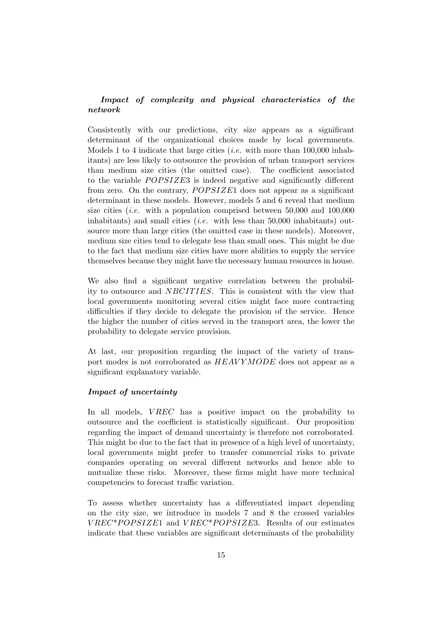### Impact of complexity and physical characteristics of the network

Consistently with our predictions, city size appears as a significant determinant of the organizational choices made by local governments. Models 1 to 4 indicate that large cities (*i.e.* with more than  $100,000$  inhabitants) are less likely to outsource the provision of urban transport services than medium size cities (the omitted case). The coefficient associated to the variable  $POPSIZE3$  is indeed negative and significantly different from zero. On the contrary,  $POPSIZE1$  does not appear as a significant determinant in these models. However, models 5 and 6 reveal that medium size cities (*i.e.* with a population comprised between  $50,000$  and  $100,000$ inhabitants) and small cities (*i.e.* with less than  $50,000$  inhabitants) outsource more than large cities (the omitted case in these models). Moreover, medium size cities tend to delegate less than small ones. This might be due to the fact that medium size cities have more abilities to supply the service themselves because they might have the necessary human resources in house.

We also find a significant negative correlation between the probability to outsource and NBCITIES. This is consistent with the view that local governments monitoring several cities might face more contracting difficulties if they decide to delegate the provision of the service. Hence the higher the number of cities served in the transport area, the lower the probability to delegate service provision.

At last, our proposition regarding the impact of the variety of transport modes is not corroborated as  $HEAVY MODE$  does not appear as a significant explanatory variable.

#### Impact of uncertainty

In all models,  $VREC$  has a positive impact on the probability to outsource and the coefficient is statistically significant. Our proposition regarding the impact of demand uncertainty is therefore not corroborated. This might be due to the fact that in presence of a high level of uncertainty, local governments might prefer to transfer commercial risks to private companies operating on several different networks and hence able to mutualize these risks. Moreover, these firms might have more technical competencies to forecast traffic variation.

To assess whether uncertainty has a differentiated impact depending on the city size, we introduce in models 7 and 8 the crossed variables  $VREC*POPSIZE1$  and  $VREC*POPSIZE3$ . Results of our estimates indicate that these variables are significant determinants of the probability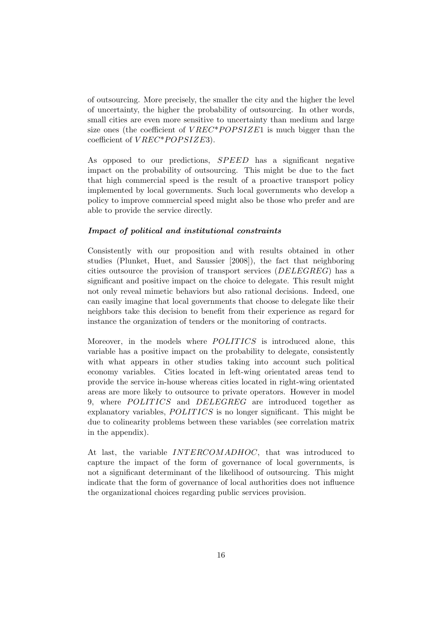of outsourcing. More precisely, the smaller the city and the higher the level of uncertainty, the higher the probability of outsourcing. In other words, small cities are even more sensitive to uncertainty than medium and large size ones (the coefficient of  $VREC^*POPSIZE1$  is much bigger than the coefficient of  $VREC*POPSIZE3$ ).

As opposed to our predictions, SPEED has a significant negative impact on the probability of outsourcing. This might be due to the fact that high commercial speed is the result of a proactive transport policy implemented by local governments. Such local governments who develop a policy to improve commercial speed might also be those who prefer and are able to provide the service directly.

#### Impact of political and institutional constraints

Consistently with our proposition and with results obtained in other studies (Plunket, Huet, and Saussier [2008]), the fact that neighboring cities outsource the provision of transport services (DELEGREG) has a significant and positive impact on the choice to delegate. This result might not only reveal mimetic behaviors but also rational decisions. Indeed, one can easily imagine that local governments that choose to delegate like their neighbors take this decision to benefit from their experience as regard for instance the organization of tenders or the monitoring of contracts.

Moreover, in the models where POLITICS is introduced alone, this variable has a positive impact on the probability to delegate, consistently with what appears in other studies taking into account such political economy variables. Cities located in left-wing orientated areas tend to provide the service in-house whereas cities located in right-wing orientated areas are more likely to outsource to private operators. However in model 9, where POLITICS and DELEGREG are introduced together as explanatory variables,  $POLITICS$  is no longer significant. This might be due to colinearity problems between these variables (see correlation matrix in the appendix).

At last, the variable *INTERCOMADHOC*, that was introduced to capture the impact of the form of governance of local governments, is not a significant determinant of the likelihood of outsourcing. This might indicate that the form of governance of local authorities does not influence the organizational choices regarding public services provision.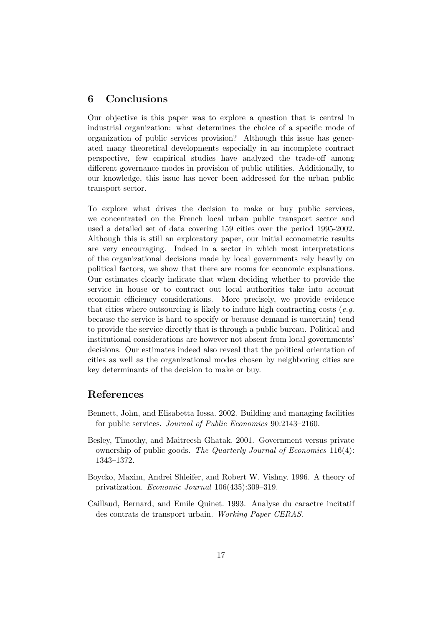## 6 Conclusions

Our objective is this paper was to explore a question that is central in industrial organization: what determines the choice of a specific mode of organization of public services provision? Although this issue has generated many theoretical developments especially in an incomplete contract perspective, few empirical studies have analyzed the trade-off among different governance modes in provision of public utilities. Additionally, to our knowledge, this issue has never been addressed for the urban public transport sector.

To explore what drives the decision to make or buy public services, we concentrated on the French local urban public transport sector and used a detailed set of data covering 159 cities over the period 1995-2002. Although this is still an exploratory paper, our initial econometric results are very encouraging. Indeed in a sector in which most interpretations of the organizational decisions made by local governments rely heavily on political factors, we show that there are rooms for economic explanations. Our estimates clearly indicate that when deciding whether to provide the service in house or to contract out local authorities take into account economic efficiency considerations. More precisely, we provide evidence that cities where outsourcing is likely to induce high contracting costs  $(e.g.$ because the service is hard to specify or because demand is uncertain) tend to provide the service directly that is through a public bureau. Political and institutional considerations are however not absent from local governments' decisions. Our estimates indeed also reveal that the political orientation of cities as well as the organizational modes chosen by neighboring cities are key determinants of the decision to make or buy.

## References

- Bennett, John, and Elisabetta Iossa. 2002. Building and managing facilities for public services. Journal of Public Economics 90:2143–2160.
- Besley, Timothy, and Maitreesh Ghatak. 2001. Government versus private ownership of public goods. The Quarterly Journal of Economics 116(4): 1343–1372.
- Boycko, Maxim, Andrei Shleifer, and Robert W. Vishny. 1996. A theory of privatization. Economic Journal 106(435):309–319.
- Caillaud, Bernard, and Emile Quinet. 1993. Analyse du caractre incitatif des contrats de transport urbain. Working Paper CERAS.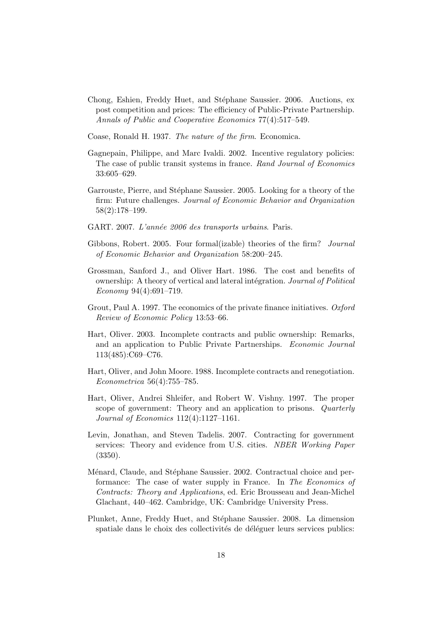- Chong, Eshien, Freddy Huet, and Stéphane Saussier. 2006. Auctions, ex post competition and prices: The efficiency of Public-Private Partnership. Annals of Public and Cooperative Economics 77(4):517–549.
- Coase, Ronald H. 1937. The nature of the firm. Economica.
- Gagnepain, Philippe, and Marc Ivaldi. 2002. Incentive regulatory policies: The case of public transit systems in france. Rand Journal of Economics 33:605–629.
- Garrouste, Pierre, and Stéphane Saussier. 2005. Looking for a theory of the firm: Future challenges. Journal of Economic Behavior and Organization 58(2):178–199.
- GART. 2007. L'année 2006 des transports urbains. Paris.
- Gibbons, Robert. 2005. Four formal (izable) theories of the firm? *Journal* of Economic Behavior and Organization 58:200–245.
- Grossman, Sanford J., and Oliver Hart. 1986. The cost and benefits of ownership: A theory of vertical and lateral intégration. Journal of Political Economy 94(4):691–719.
- Grout, Paul A. 1997. The economics of the private finance initiatives. Oxford Review of Economic Policy 13:53–66.
- Hart, Oliver. 2003. Incomplete contracts and public ownership: Remarks, and an application to Public Private Partnerships. Economic Journal 113(485):C69–C76.
- Hart, Oliver, and John Moore. 1988. Incomplete contracts and renegotiation. Econometrica 56(4):755–785.
- Hart, Oliver, Andrei Shleifer, and Robert W. Vishny. 1997. The proper scope of government: Theory and an application to prisons. Quarterly Journal of Economics 112(4):1127–1161.
- Levin, Jonathan, and Steven Tadelis. 2007. Contracting for government services: Theory and evidence from U.S. cities. NBER Working Paper (3350).
- Ménard, Claude, and Stéphane Saussier. 2002. Contractual choice and performance: The case of water supply in France. In The Economics of Contracts: Theory and Applications, ed. Eric Brousseau and Jean-Michel Glachant, 440–462. Cambridge, UK: Cambridge University Press.
- Plunket, Anne, Freddy Huet, and Stéphane Saussier. 2008. La dimension spatiale dans le choix des collectivités de déléguer leurs services publics: